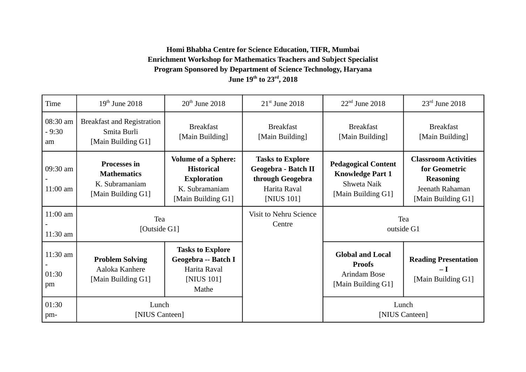## **Homi Bhabha Centre for Science Education, TIFR, Mumbai Enrichment Workshop for Mathematics Teachers and Subject Specialist Program Sponsored by Department of Science Technology, Haryana June 19th to 23rd, 2018**

| Time                      | $19th$ June 2018                                                                  | $20th$ June 2018                                                                                              | $21st$ June 2018                                                                                        | $22nd$ June 2018                                                                           | $23rd$ June 2018                                                                                          |
|---------------------------|-----------------------------------------------------------------------------------|---------------------------------------------------------------------------------------------------------------|---------------------------------------------------------------------------------------------------------|--------------------------------------------------------------------------------------------|-----------------------------------------------------------------------------------------------------------|
| 08:30 am<br>$-9:30$<br>am | <b>Breakfast and Registration</b><br>Smita Burli<br>[Main Building G1]            | <b>Breakfast</b><br>[Main Building]                                                                           | <b>Breakfast</b><br>[Main Building]                                                                     | <b>Breakfast</b><br>[Main Building]                                                        | <b>Breakfast</b><br>[Main Building]                                                                       |
| 09:30 am<br>$11:00$ am    | <b>Processes in</b><br><b>Mathematics</b><br>K. Subramaniam<br>[Main Building G1] | <b>Volume of a Sphere:</b><br><b>Historical</b><br><b>Exploration</b><br>K. Subramaniam<br>[Main Building G1] | <b>Tasks to Explore</b><br><b>Geogebra - Batch II</b><br>through Geogebra<br>Harita Raval<br>[NIUS 101] | <b>Pedagogical Content</b><br><b>Knowledge Part 1</b><br>Shweta Naik<br>[Main Building G1] | <b>Classroom Activities</b><br>for Geometric<br><b>Reasoning</b><br>Jeenath Rahaman<br>[Main Building G1] |
| $11:00$ am<br>$11:30$ am  | Tea<br>[Outside G1]                                                               |                                                                                                               | <b>Visit to Nehru Science</b><br>Centre                                                                 | Tea<br>outside G1                                                                          |                                                                                                           |
| $11:30$ am<br>01:30<br>pm | <b>Problem Solving</b><br>Aaloka Kanhere<br>[Main Building G1]                    | <b>Tasks to Explore</b><br>Geogebra -- Batch I<br>Harita Raval<br>[NIUS 101]<br>Mathe                         |                                                                                                         | <b>Global and Local</b><br><b>Proofs</b><br><b>Arindam Bose</b><br>[Main Building G1]      | <b>Reading Presentation</b><br>$-1$<br>[Main Building G1]                                                 |
| 01:30<br>pm-              | Lunch<br>[NIUS Canteen]                                                           |                                                                                                               |                                                                                                         | Lunch<br>[NIUS Canteen]                                                                    |                                                                                                           |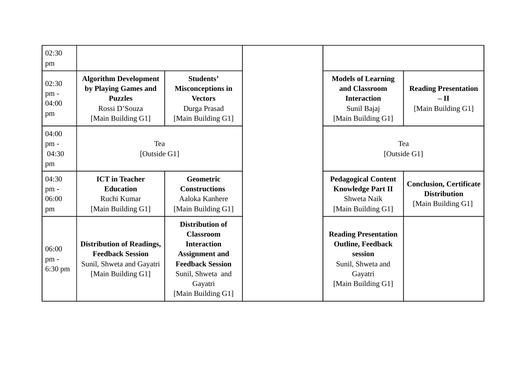| 02:30<br>pm                 |                                                                                                                |                                                                                                                                                                            |                                                                                                                          |                                                                             |
|-----------------------------|----------------------------------------------------------------------------------------------------------------|----------------------------------------------------------------------------------------------------------------------------------------------------------------------------|--------------------------------------------------------------------------------------------------------------------------|-----------------------------------------------------------------------------|
| 02:30<br>pm-<br>04:00<br>pm | <b>Algorithm Development</b><br>by Playing Games and<br><b>Puzzles</b><br>Rossi D'Souza<br>[Main Building G1]  | Students'<br><b>Misconceptions in</b><br><b>Vectors</b><br>Durga Prasad<br>[Main Building G1]                                                                              | <b>Models of Learning</b><br>and Classroom<br><b>Interaction</b><br>Sunil Bajaj<br>[Main Building G1]                    | <b>Reading Presentation</b><br>$-$ II<br>[Main Building G1]                 |
| 04:00<br>pm-<br>04:30<br>pm | Tea<br>[Outside G1]                                                                                            |                                                                                                                                                                            | Tea<br>[Outside G1]                                                                                                      |                                                                             |
| 04:30<br>pm-<br>06:00<br>pm | <b>ICT</b> in Teacher<br><b>Education</b><br>Ruchi Kumar<br>[Main Building G1]                                 | Geometric<br><b>Constructions</b><br>Aaloka Kanhere<br>[Main Building G1]                                                                                                  | <b>Pedagogical Content</b><br><b>Knowledge Part II</b><br>Shweta Naik<br>[Main Building G1]                              | <b>Conclusion, Certificate</b><br><b>Distribution</b><br>[Main Building G1] |
| 06:00<br>pm-<br>$6:30$ pm   | <b>Distribution of Readings,</b><br><b>Feedback Session</b><br>Sunil, Shweta and Gayatri<br>[Main Building G1] | <b>Distribution of</b><br><b>Classroom</b><br><b>Interaction</b><br><b>Assignment and</b><br><b>Feedback Session</b><br>Sunil, Shweta and<br>Gayatri<br>[Main Building G1] | <b>Reading Presentation</b><br><b>Outline, Feedback</b><br>session<br>Sunil, Shweta and<br>Gayatri<br>[Main Building G1] |                                                                             |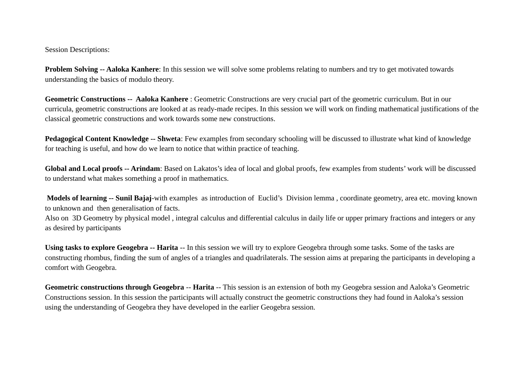Session Descriptions:

**Problem Solving -- Aaloka Kanhere**: In this session we will solve some problems relating to numbers and try to get motivated towards understanding the basics of modulo theory.

**Geometric Constructions -- Aaloka Kanhere** : Geometric Constructions are very crucial part of the geometric curriculum. But in our curricula, geometric constructions are looked at as ready-made recipes. In this session we will work on finding mathematical justifications of the classical geometric constructions and work towards some new constructions.

**Pedagogical Content Knowledge -- Shweta**: Few examples from secondary schooling will be discussed to illustrate what kind of knowledge for teaching is useful, and how do we learn to notice that within practice of teaching.

**Global and Local proofs -- Arindam**: Based on Lakatos's idea of local and global proofs, few examples from students' work will be discussed to understand what makes something a proof in mathematics.

 **Models of learning -- Sunil Bajaj**-with examples as introduction of Euclid's Division lemma , coordinate geometry, area etc. moving known to unknown and then generalisation of facts.

Also on 3D Geometry by physical model , integral calculus and differential calculus in daily life or upper primary fractions and integers or any as desired by participants

**Using tasks to explore Geogebra -- Harita** -- In this session we will try to explore Geogebra through some tasks. Some of the tasks are constructing rhombus, finding the sum of angles of a triangles and quadrilaterals. The session aims at preparing the participants in developing a comfort with Geogebra.

**Geometric constructions through Geogebra** -- **Harita** -- This session is an extension of both my Geogebra session and Aaloka's Geometric Constructions session. In this session the participants will actually construct the geometric constructions they had found in Aaloka's session using the understanding of Geogebra they have developed in the earlier Geogebra session.